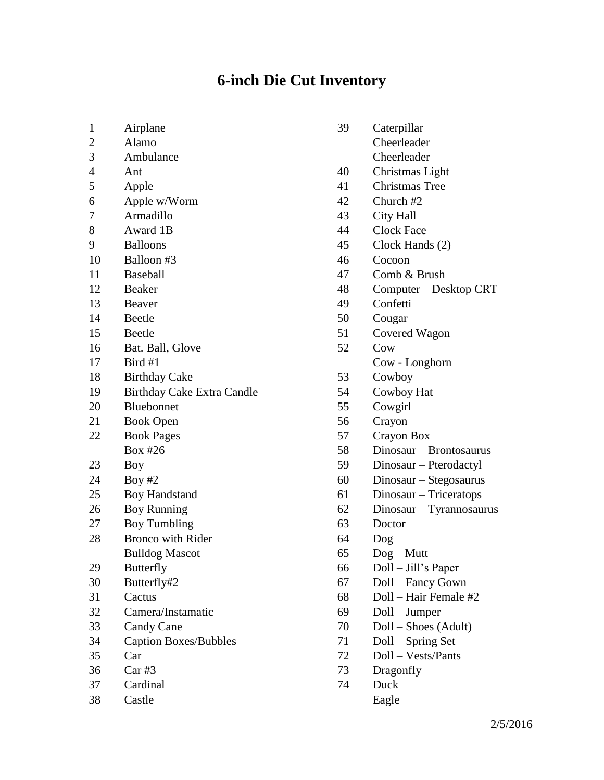## **6-inch Die Cut Inventory**

- Airplane
- Alamo
- Ambulance
- Ant
- Apple
- Apple w/Worm
- Armadillo
- Award 1B
- Balloons
- Balloon #3
- Baseball
- Beaker
- Beaver
- Beetle
- Beetle
- Bat. Ball, Glove
- Bird #1
- Birthday Cake
- Birthday Cake Extra Candle
- Bluebonnet
- Book Open
- Book Pages Box #26
- Boy
- Boy #2
- Boy Handstand
- Boy Running
- Boy Tumbling
- Bronco with Rider Bulldog Mascot
- Butterfly
- Butterfly#2
- Cactus
- Camera/Instamatic
- Candy Cane
- Caption Boxes/Bubbles
- Car
- Car #3
- Cardinal
- Castle
- Caterpillar Cheerleader Cheerleader Christmas Light Christmas Tree Church #2 City Hall Clock Face Clock Hands (2) Cocoon Comb & Brush Computer – Desktop CRT Confetti Cougar Covered Wagon Cow Cow - Longhorn Cowboy Cowboy Hat Cowgirl Crayon Crayon Box Dinosaur – Brontosaurus Dinosaur – Pterodactyl Dinosaur – Stegosaurus Dinosaur – Triceratops Dinosaur – Tyrannosaurus Doctor Dog Dog – Mutt Doll – Jill's Paper Doll – Fancy Gown Doll – Hair Female #2 Doll – Jumper Doll – Shoes (Adult) Doll – Spring Set
- Doll Vests/Pants
- Dragonfly
- Duck Eagle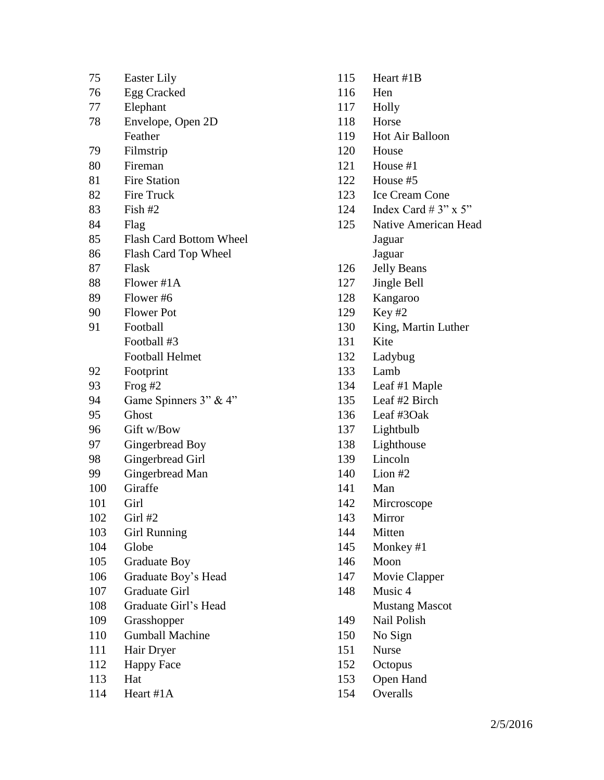| 75  | <b>Easter Lily</b>             |
|-----|--------------------------------|
| 76  | Egg Cracked                    |
| 77  | Elephant                       |
| 78  | Envelope, Open 2D              |
|     | Feather                        |
| 79  | Filmstrip                      |
| 80  | Fireman                        |
| 81  | <b>Fire Station</b>            |
| 82  | Fire Truck                     |
| 83  | Fish $#2$                      |
| 84  | Flag                           |
| 85  | <b>Flash Card Bottom Wheel</b> |
| 86  | Flash Card Top Wheel           |
| 87  | Flask                          |
| 88  | Flower #1A                     |
| 89  | Flower #6                      |
| 90  | <b>Flower</b> Pot              |
| 91  | Football                       |
|     | Football #3                    |
|     | <b>Football Helmet</b>         |
| 92  | Footprint                      |
| 93  | Frog #2                        |
| 94  | Game Spinners 3" & 4"          |
| 95  | Ghost                          |
| 96  | Gift w/Bow                     |
| 97  | Gingerbread Boy                |
| 98  | Gingerbread Girl               |
| 99  | Gingerbread Man                |
| 100 | Giraffe                        |
| 101 | Girl                           |
| 102 | Girl #2                        |
| 103 | <b>Girl Running</b>            |
| 104 | Globe                          |
| 105 | <b>Graduate Boy</b>            |
| 106 | Graduate Boy's Head            |
| 107 | <b>Graduate Girl</b>           |
| 108 | Graduate Girl's Head           |
| 109 | Grasshopper                    |
| 110 | <b>Gumball Machine</b>         |
| 111 | Hair Dryer                     |
| 112 | <b>Happy Face</b>              |
| 113 | Hat                            |
| 114 | Heart #1A                      |

- Heart #1B Hen Holly Horse Hot Air Balloon House House #1 House #5 Ice Cream Cone 124 Index Card #  $3" \times 5"$  Native American Head Jaguar Jaguar Jelly Beans Jingle Bell Kangaroo Key #2 King, Martin Luther Kite Ladybug Lamb Leaf #1 Maple Leaf #2 Birch Leaf #3Oak Lightbulb Lighthouse Lincoln Lion #2 Man Mircroscope Mirror Mitten Monkey #1 Moon Movie Clapper Music 4 Mustang Mascot Nail Polish No Sign Nurse Octopus Open Hand
	- Overalls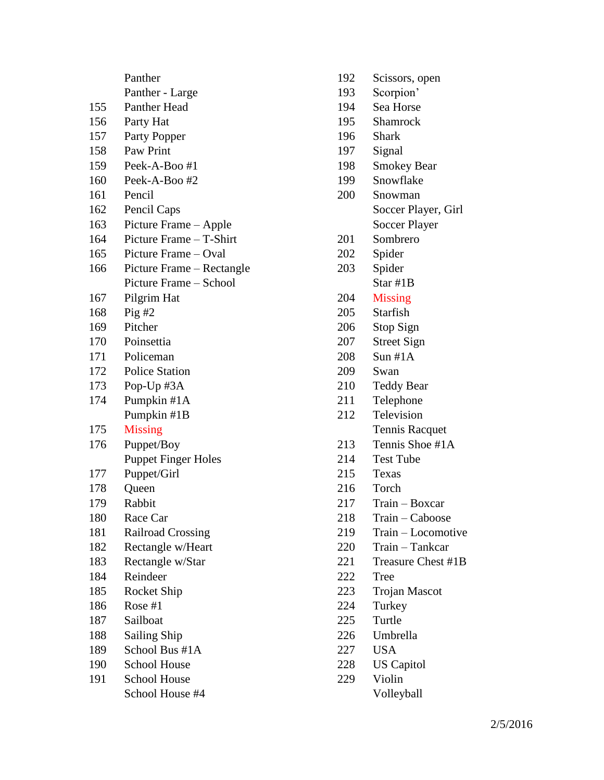|     | Panther                    |
|-----|----------------------------|
|     | Panther - Large            |
| 155 | <b>Panther Head</b>        |
| 156 | Party Hat                  |
| 157 | Party Popper               |
| 158 | Paw Print                  |
| 159 | Peek-A-Boo #1              |
| 160 | Peek-A-Boo#2               |
| 161 | Pencil                     |
| 162 | Pencil Caps                |
| 163 | Picture Frame - Apple      |
| 164 | Picture Frame - T-Shirt    |
| 165 | Picture Frame – Oval       |
| 166 | Picture Frame - Rectangle  |
|     | Picture Frame – School     |
| 167 | Pilgrim Hat                |
| 168 | Pig#2                      |
| 169 | Pitcher                    |
| 170 | Poinsettia                 |
| 171 | Policeman                  |
| 172 | <b>Police Station</b>      |
| 173 | Pop-Up #3A                 |
| 174 | Pumpkin #1A                |
|     | Pumpkin #1B                |
| 175 | Missing                    |
| 176 | Puppet/Boy                 |
|     | <b>Puppet Finger Holes</b> |
| 177 | Puppet/Girl                |
| 178 | Queen                      |
| 179 | Rabbit                     |
| 180 | Race Car                   |
| 181 | <b>Railroad Crossing</b>   |
| 182 | Rectangle w/Heart          |
| 183 | Rectangle w/Star           |
| 184 | Reindeer                   |
| 185 | <b>Rocket Ship</b>         |
| 186 | Rose $#1$                  |
| 187 | Sailboat                   |
| 188 | <b>Sailing Ship</b>        |
| 189 | School Bus #1A             |
| 190 | <b>School House</b>        |
| 191 | <b>School House</b>        |
|     | School House #4            |

- Scissors, open
- Scorpion'
- Sea Horse
- Shamrock
- Shark
- Signal
- Smokey Bear
- Snowflake
- Snowman Soccer Player, Girl Soccer Player
- Sombrero
- Spider
- Spider
	- Star #1B
- Missing
- Starfish
- Stop Sign
- Street Sign
- Sun #1A
- Swan
- Teddy Bear
- Telephone
- Television Tennis Racquet
- Tennis Shoe #1A
- Test Tube
- Texas
- Torch
- Train Boxcar
- Train Caboose
- Train Locomotive
- Train Tankcar
- 221 Treasure Chest #1B
- Tree
- Trojan Mascot
- Turkey
- Turtle
- Umbrella
- USA
- US Capitol
- Violin
	- Volleyball